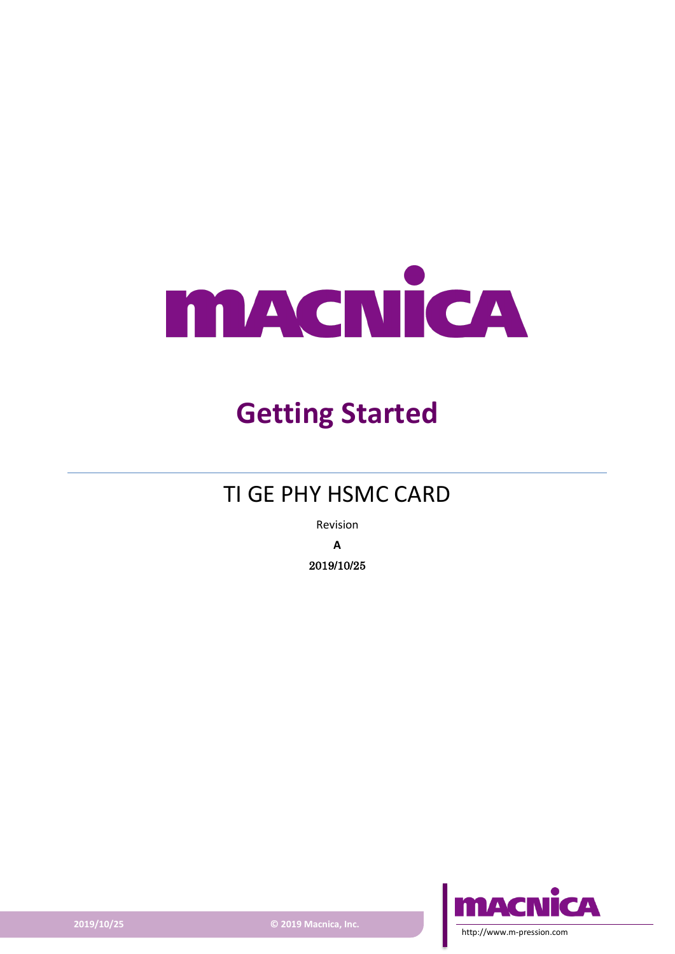

# **Getting Started**

### TI GE PHY HSMC CARD

Revision **A** 2019/10/25



**2019/10/25 © 2019 Macnica, Inc.**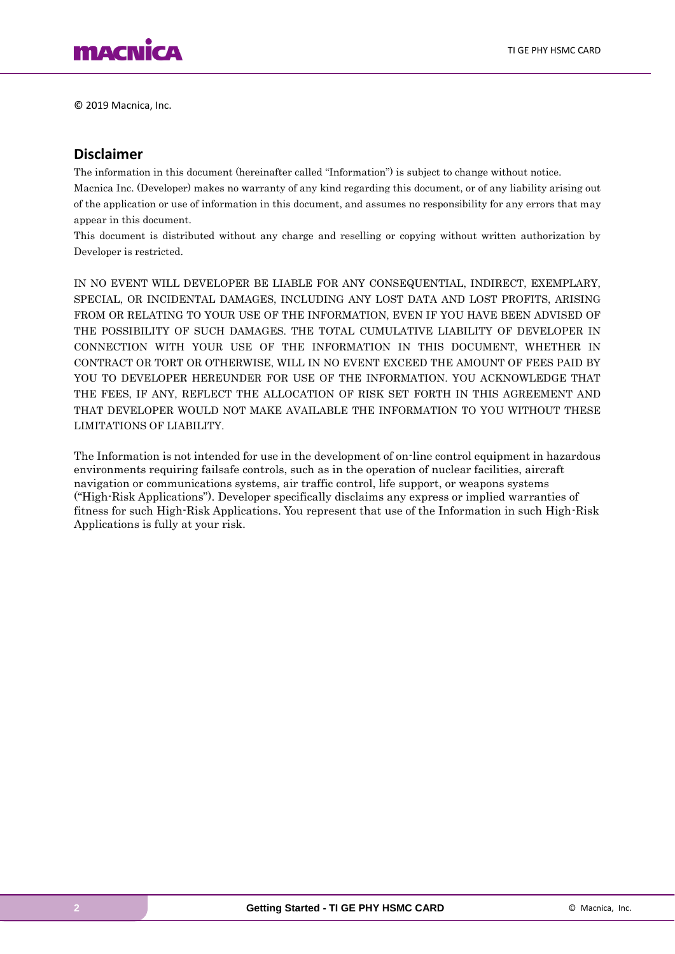

© 2019 Macnica, Inc.

#### **Disclaimer**

The information in this document (hereinafter called "Information") is subject to change without notice.

Macnica Inc. (Developer) makes no warranty of any kind regarding this document, or of any liability arising out of the application or use of information in this document, and assumes no responsibility for any errors that may appear in this document.

This document is distributed without any charge and reselling or copying without written authorization by Developer is restricted.

IN NO EVENT WILL DEVELOPER BE LIABLE FOR ANY CONSEQUENTIAL, INDIRECT, EXEMPLARY, SPECIAL, OR INCIDENTAL DAMAGES, INCLUDING ANY LOST DATA AND LOST PROFITS, ARISING FROM OR RELATING TO YOUR USE OF THE INFORMATION, EVEN IF YOU HAVE BEEN ADVISED OF THE POSSIBILITY OF SUCH DAMAGES. THE TOTAL CUMULATIVE LIABILITY OF DEVELOPER IN CONNECTION WITH YOUR USE OF THE INFORMATION IN THIS DOCUMENT, WHETHER IN CONTRACT OR TORT OR OTHERWISE, WILL IN NO EVENT EXCEED THE AMOUNT OF FEES PAID BY YOU TO DEVELOPER HEREUNDER FOR USE OF THE INFORMATION. YOU ACKNOWLEDGE THAT THE FEES, IF ANY, REFLECT THE ALLOCATION OF RISK SET FORTH IN THIS AGREEMENT AND THAT DEVELOPER WOULD NOT MAKE AVAILABLE THE INFORMATION TO YOU WITHOUT THESE LIMITATIONS OF LIABILITY.

The Information is not intended for use in the development of on-line control equipment in hazardous environments requiring failsafe controls, such as in the operation of nuclear facilities, aircraft navigation or communications systems, air traffic control, life support, or weapons systems ("High-Risk Applications"). Developer specifically disclaims any express or implied warranties of fitness for such High-Risk Applications. You represent that use of the Information in such High-Risk Applications is fully at your risk.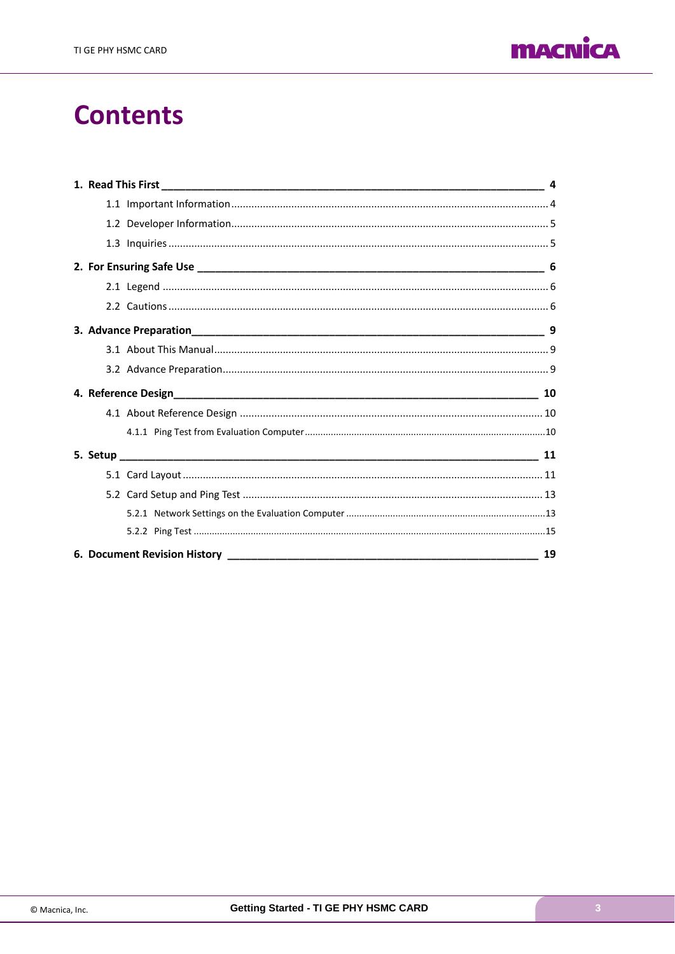

## **Contents**

|  | 19 |
|--|----|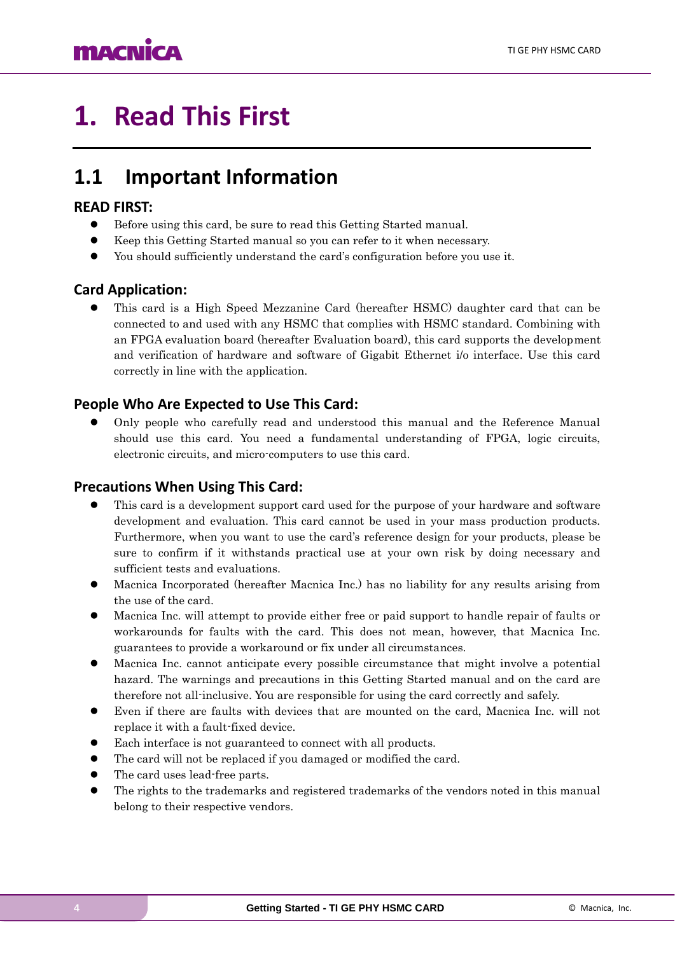# <span id="page-3-0"></span>**1. Read This First**

### <span id="page-3-1"></span>**1.1 Important Information**

#### **READ FIRST:**

- ⚫ Before using this card, be sure to read this Getting Started manual.
- ⚫ Keep this Getting Started manual so you can refer to it when necessary.
- ⚫ You should sufficiently understand the card's configuration before you use it.

#### **Card Application:**

⚫ This card is a High Speed Mezzanine Card (hereafter HSMC) daughter card that can be connected to and used with any HSMC that complies with HSMC standard. Combining with an FPGA evaluation board (hereafter Evaluation board), this card supports the development and verification of hardware and software of Gigabit Ethernet i/o interface. Use this card correctly in line with the application.

#### **People Who Are Expected to Use This Card:**

⚫ Only people who carefully read and understood this manual and the Reference Manual should use this card. You need a fundamental understanding of FPGA, logic circuits, electronic circuits, and micro-computers to use this card.

#### **Precautions When Using This Card:**

- ⚫ This card is a development support card used for the purpose of your hardware and software development and evaluation. This card cannot be used in your mass production products. Furthermore, when you want to use the card's reference design for your products, please be sure to confirm if it withstands practical use at your own risk by doing necessary and sufficient tests and evaluations.
- ⚫ Macnica Incorporated (hereafter Macnica Inc.) has no liability for any results arising from the use of the card.
- ⚫ Macnica Inc. will attempt to provide either free or paid support to handle repair of faults or workarounds for faults with the card. This does not mean, however, that Macnica Inc. guarantees to provide a workaround or fix under all circumstances.
- ⚫ Macnica Inc. cannot anticipate every possible circumstance that might involve a potential hazard. The warnings and precautions in this Getting Started manual and on the card are therefore not all-inclusive. You are responsible for using the card correctly and safely.
- ⚫ Even if there are faults with devices that are mounted on the card, Macnica Inc. will not replace it with a fault-fixed device.
- Each interface is not guaranteed to connect with all products.
- ⚫ The card will not be replaced if you damaged or modified the card.
- ⚫ The card uses lead-free parts.
- ⚫ The rights to the trademarks and registered trademarks of the vendors noted in this manual belong to their respective vendors.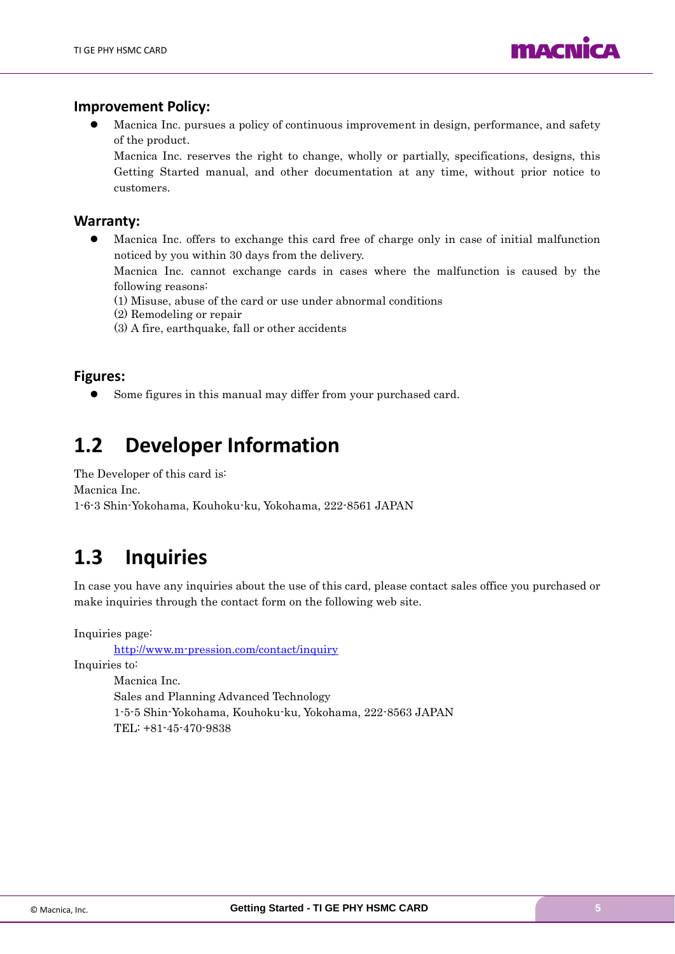

#### **Improvement Policy:**

⚫ Macnica Inc. pursues a policy of continuous improvement in design, performance, and safety of the product.

Macnica Inc. reserves the right to change, wholly or partially, specifications, designs, this Getting Started manual, and other documentation at any time, without prior notice to customers.

#### **Warranty:**

⚫ Macnica Inc. offers to exchange this card free of charge only in case of initial malfunction noticed by you within 30 days from the delivery.

Macnica Inc. cannot exchange cards in cases where the malfunction is caused by the following reasons:

- (1) Misuse, abuse of the card or use under abnormal conditions
- (2) Remodeling or repair
- (3) A fire, earthquake, fall or other accidents

#### **Figures:**

⚫ Some figures in this manual may differ from your purchased card.

### <span id="page-4-0"></span>**1.2 Developer Information**

The Developer of this card is: Macnica Inc. 1-6-3 Shin-Yokohama, Kouhoku-ku, Yokohama, 222-8561 JAPAN

### <span id="page-4-1"></span>**1.3 Inquiries**

In case you have any inquiries about the use of this card, please contact sales office you purchased or make inquiries through the contact form on the following web site.

Inquiries page:

<http://www.m-pression.com/contact/inquiry>

Inquiries to:

Macnica Inc. Sales and Planning Advanced Technology 1-5-5 Shin-Yokohama, Kouhoku-ku, Yokohama, 222-8563 JAPAN TEL: +81-45-470-9838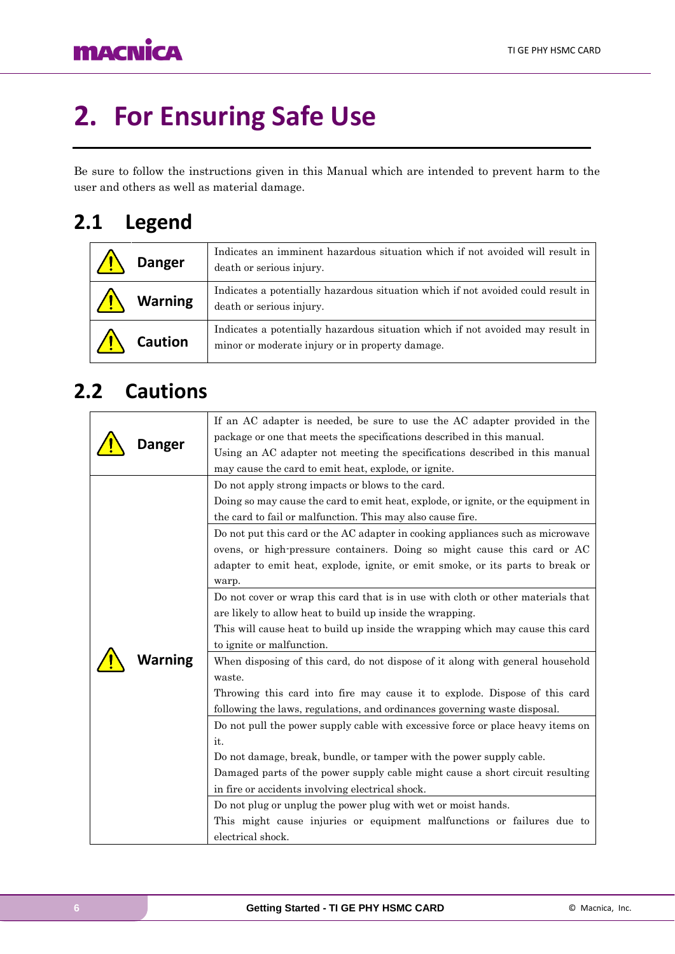# <span id="page-5-0"></span>**2. For Ensuring Safe Use**

Be sure to follow the instructions given in this Manual which are intended to prevent harm to the user and others as well as material damage.

### <span id="page-5-1"></span>**2.1 Legend**

| <b>Danger</b>  | Indicates an imminent hazardous situation which if not avoided will result in<br>death or serious injury.                         |
|----------------|-----------------------------------------------------------------------------------------------------------------------------------|
| <b>Warning</b> | Indicates a potentially hazardous situation which if not avoided could result in<br>death or serious injury.                      |
| <b>Caution</b> | Indicates a potentially hazardous situation which if not avoided may result in<br>minor or moderate injury or in property damage. |

### <span id="page-5-2"></span>**2.2 Cautions**

| Danger  | If an AC adapter is needed, be sure to use the AC adapter provided in the<br>package or one that meets the specifications described in this manual.<br>Using an AC adapter not meeting the specifications described in this manual<br>may cause the card to emit heat, explode, or ignite.                                                                                                                                                                                                                                                                                                                     |
|---------|----------------------------------------------------------------------------------------------------------------------------------------------------------------------------------------------------------------------------------------------------------------------------------------------------------------------------------------------------------------------------------------------------------------------------------------------------------------------------------------------------------------------------------------------------------------------------------------------------------------|
|         | Do not apply strong impacts or blows to the card.<br>Doing so may cause the card to emit heat, explode, or ignite, or the equipment in<br>the card to fail or malfunction. This may also cause fire.<br>Do not put this card or the AC adapter in cooking appliances such as microwave<br>ovens, or high-pressure containers. Doing so might cause this card or AC<br>adapter to emit heat, explode, ignite, or emit smoke, or its parts to break or<br>warp.<br>Do not cover or wrap this card that is in use with cloth or other materials that<br>are likely to allow heat to build up inside the wrapping. |
| Narning | This will cause heat to build up inside the wrapping which may cause this card<br>to ignite or malfunction.<br>When disposing of this card, do not dispose of it along with general household<br>waste.<br>Throwing this card into fire may cause it to explode. Dispose of this card<br>following the laws, regulations, and ordinances governing waste disposal.                                                                                                                                                                                                                                             |
|         | Do not pull the power supply cable with excessive force or place heavy items on<br>it.<br>Do not damage, break, bundle, or tamper with the power supply cable.<br>Damaged parts of the power supply cable might cause a short circuit resulting<br>in fire or accidents involving electrical shock.<br>Do not plug or unplug the power plug with wet or moist hands.<br>This might cause injuries or equipment malfunctions or failures due to<br>electrical shock.                                                                                                                                            |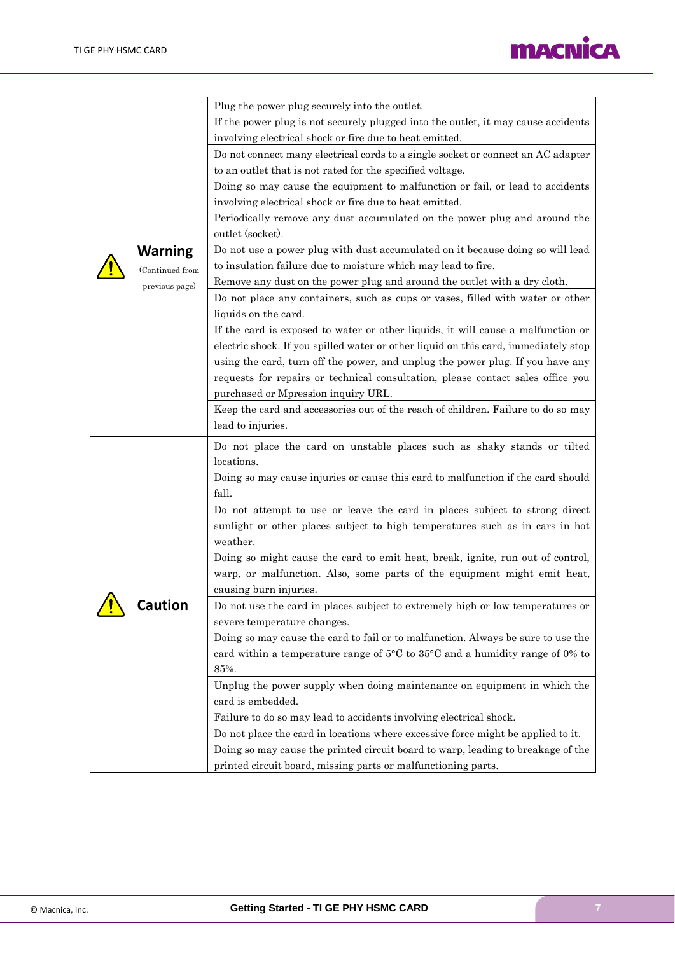

|  |                 | Plug the power plug securely into the outlet.                                                    |
|--|-----------------|--------------------------------------------------------------------------------------------------|
|  |                 | If the power plug is not securely plugged into the outlet, it may cause accidents                |
|  |                 | involving electrical shock or fire due to heat emitted.                                          |
|  |                 | Do not connect many electrical cords to a single socket or connect an AC adapter                 |
|  |                 | to an outlet that is not rated for the specified voltage.                                        |
|  |                 | Doing so may cause the equipment to malfunction or fail, or lead to accidents                    |
|  |                 | involving electrical shock or fire due to heat emitted.                                          |
|  |                 | Periodically remove any dust accumulated on the power plug and around the                        |
|  |                 | outlet (socket).                                                                                 |
|  | <b>Warning</b>  | Do not use a power plug with dust accumulated on it because doing so will lead                   |
|  | (Continued from | to insulation failure due to moisture which may lead to fire.                                    |
|  | previous page)  | Remove any dust on the power plug and around the outlet with a dry cloth.                        |
|  |                 | Do not place any containers, such as cups or vases, filled with water or other                   |
|  |                 | liquids on the card.                                                                             |
|  |                 | If the card is exposed to water or other liquids, it will cause a malfunction or                 |
|  |                 | electric shock. If you spilled water or other liquid on this card, immediately stop              |
|  |                 | using the card, turn off the power, and unplug the power plug. If you have any                   |
|  |                 | requests for repairs or technical consultation, please contact sales office you                  |
|  |                 | purchased or Mpression inquiry URL.                                                              |
|  |                 | Keep the card and accessories out of the reach of children. Failure to do so may                 |
|  |                 | lead to injuries.                                                                                |
|  |                 |                                                                                                  |
|  |                 | Do not place the card on unstable places such as shaky stands or tilted                          |
|  |                 | locations.                                                                                       |
|  |                 | Doing so may cause injuries or cause this card to malfunction if the card should                 |
|  |                 | fall.                                                                                            |
|  |                 | Do not attempt to use or leave the card in places subject to strong direct                       |
|  |                 | sunlight or other places subject to high temperatures such as in cars in hot<br>weather.         |
|  |                 |                                                                                                  |
|  |                 | Doing so might cause the card to emit heat, break, ignite, run out of control,                   |
|  |                 | warp, or malfunction. Also, some parts of the equipment might emit heat,                         |
|  |                 | causing burn injuries.                                                                           |
|  | <b>Caution</b>  | Do not use the card in places subject to extremely high or low temperatures or                   |
|  |                 | severe temperature changes.                                                                      |
|  |                 | Doing so may cause the card to fail or to malfunction. Always be sure to use the                 |
|  |                 | card within a temperature range of $5^{\circ}$ C to $35^{\circ}$ C and a humidity range of 0% to |
|  |                 | 85%.                                                                                             |
|  |                 | Unplug the power supply when doing maintenance on equipment in which the                         |
|  |                 | card is embedded.                                                                                |
|  |                 | Failure to do so may lead to accidents involving electrical shock.                               |
|  |                 | Do not place the card in locations where excessive force might be applied to it.                 |
|  |                 | Doing so may cause the printed circuit board to warp, leading to breakage of the                 |
|  |                 | printed circuit board, missing parts or malfunctioning parts.                                    |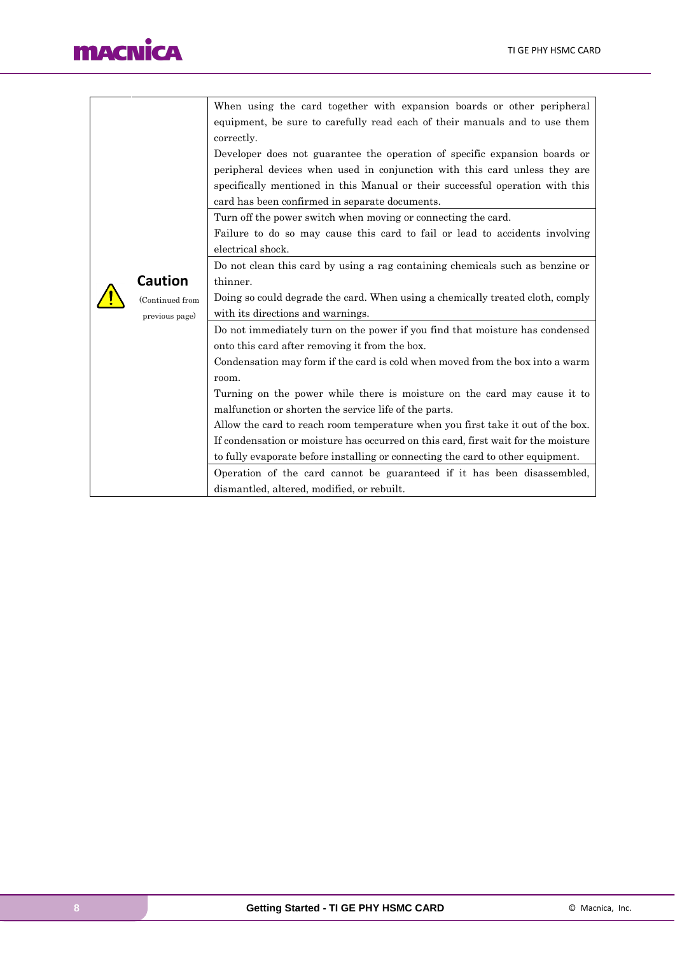# **MACNICA**

|                                                                                 |                                                | When using the card together with expansion boards or other peripheral             |  |
|---------------------------------------------------------------------------------|------------------------------------------------|------------------------------------------------------------------------------------|--|
|                                                                                 |                                                | equipment, be sure to carefully read each of their manuals and to use them         |  |
|                                                                                 |                                                | correctly.                                                                         |  |
|                                                                                 |                                                | Developer does not guarantee the operation of specific expansion boards or         |  |
|                                                                                 |                                                | peripheral devices when used in conjunction with this card unless they are         |  |
|                                                                                 |                                                | specifically mentioned in this Manual or their successful operation with this      |  |
|                                                                                 |                                                | card has been confirmed in separate documents.                                     |  |
|                                                                                 |                                                | Turn off the power switch when moving or connecting the card.                      |  |
|                                                                                 |                                                | Failure to do so may cause this card to fail or lead to accidents involving        |  |
|                                                                                 |                                                | electrical shock.                                                                  |  |
|                                                                                 |                                                | Do not clean this card by using a rag containing chemicals such as benzine or      |  |
|                                                                                 | <b>Caution</b>                                 | thinner.                                                                           |  |
|                                                                                 | (Continued from                                | Doing so could degrade the card. When using a chemically treated cloth, comply     |  |
|                                                                                 | previous page)                                 | with its directions and warnings.                                                  |  |
|                                                                                 |                                                | Do not immediately turn on the power if you find that moisture has condensed       |  |
|                                                                                 | onto this card after removing it from the box. |                                                                                    |  |
|                                                                                 |                                                | Condensation may form if the card is cold when moved from the box into a warm      |  |
|                                                                                 |                                                | room.                                                                              |  |
|                                                                                 |                                                | Turning on the power while there is moisture on the card may cause it to           |  |
| malfunction or shorten the service life of the parts.                           |                                                |                                                                                    |  |
| Allow the card to reach room temperature when you first take it out of the box. |                                                |                                                                                    |  |
|                                                                                 |                                                | If condensation or moisture has occurred on this card, first wait for the moisture |  |
|                                                                                 |                                                | to fully evaporate before installing or connecting the card to other equipment.    |  |
|                                                                                 |                                                | Operation of the card cannot be guaranteed if it has been disassembled,            |  |
|                                                                                 |                                                | dismantled, altered, modified, or rebuilt.                                         |  |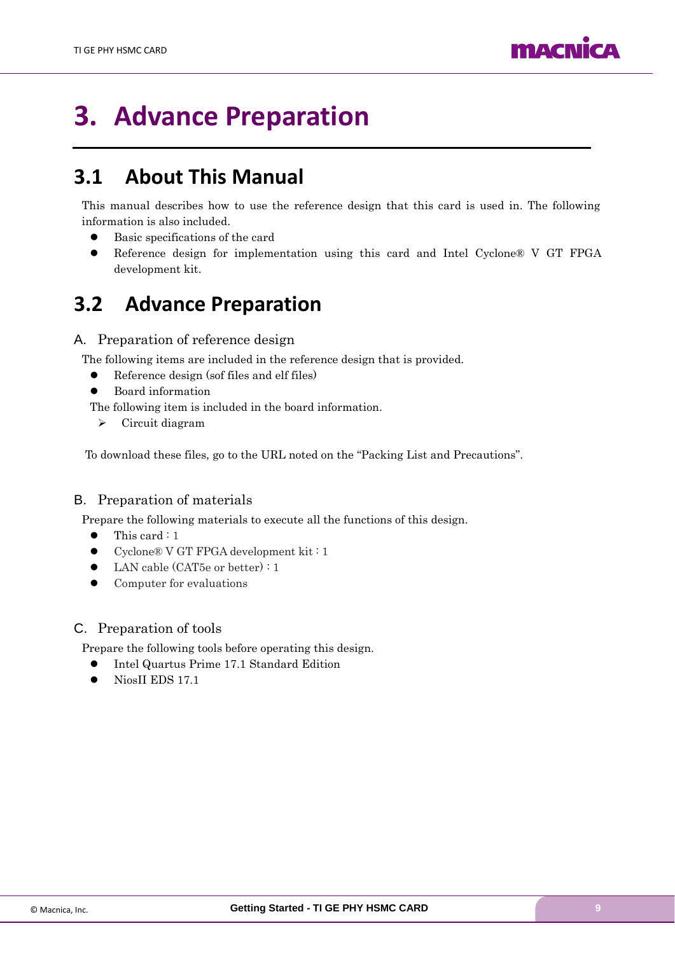

# <span id="page-8-0"></span>**3. Advance Preparation**

### <span id="page-8-1"></span>**3.1 About This Manual**

This manual describes how to use the reference design that this card is used in. The following information is also included.

- Basic specifications of the card
- ⚫ Reference design for implementation using this card and Intel Cyclone® V GT FPGA development kit.

### <span id="page-8-2"></span>**3.2 Advance Preparation**

#### A. Preparation of reference design

The following items are included in the reference design that is provided.

- Reference design (sof files and elf files)
- ⚫ Board information

The following item is included in the board information.

➢ Circuit diagram

To download these files, go to the URL noted on the "Packing List and Precautions".

#### B. Preparation of materials

Prepare the following materials to execute all the functions of this design.

- This card : 1
- ⚫ Cyclone® V GT FPGA development kit : 1
- ⚫ LAN cable (CAT5e or better) : 1
- ⚫ Computer for evaluations

#### C. Preparation of tools

Prepare the following tools before operating this design.

- Intel Quartus Prime 17.1 Standard Edition
- NiosII EDS 17.1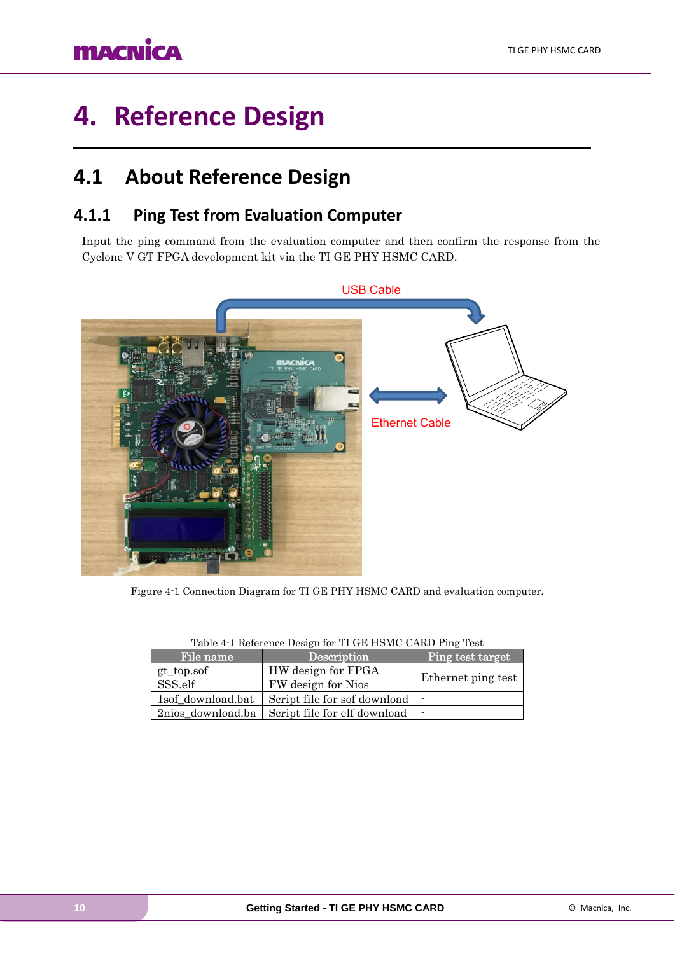## **MACNICA**

# <span id="page-9-0"></span>**4. Reference Design**

### <span id="page-9-1"></span>**4.1 About Reference Design**

### <span id="page-9-2"></span>**4.1.1 Ping Test from Evaluation Computer**

Input the ping command from the evaluation computer and then confirm the response from the Cyclone V GT FPGA development kit via the TI GE PHY HSMC CARD.



Figure 4-1 Connection Diagram for TI GE PHY HSMC CARD and evaluation computer.

| File name         | Description                      | Ping test target   |  |
|-------------------|----------------------------------|--------------------|--|
| gt_top.sof        | HW design for FPGA               |                    |  |
| SSS.elf           | FW design for Nios               | Ethernet ping test |  |
| 1sof download.bat | Script file for sof download   - |                    |  |
| 2nios download.ba | Script file for elf download   - |                    |  |

| Table 4-1 Reference Design for TI GE HSMC CARD Ping Test |  |  |  |
|----------------------------------------------------------|--|--|--|
|                                                          |  |  |  |
|                                                          |  |  |  |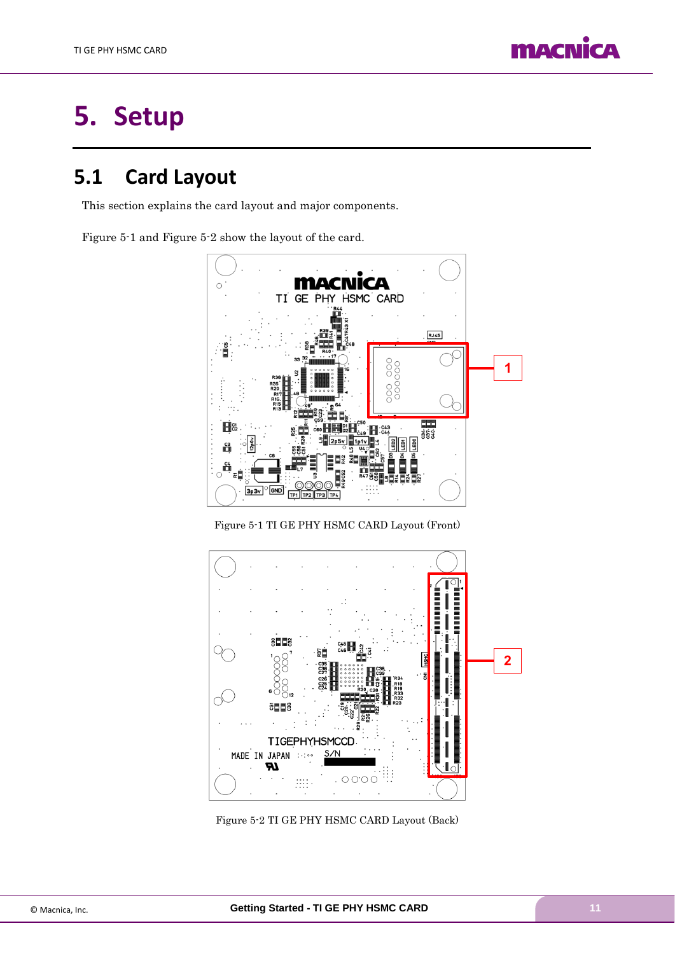

# <span id="page-10-0"></span>**5. Setup**

### <span id="page-10-1"></span>**5.1 Card Layout**

This section explains the card layout and major components.

[Figure 5-1](#page-10-2) and [Figure 5-2](#page-10-3) show the layout of the card.



Figure 5-1 TI GE PHY HSMC CARD Layout (Front)

<span id="page-10-2"></span>

<span id="page-10-3"></span>Figure 5-2 TI GE PHY HSMC CARD Layout (Back)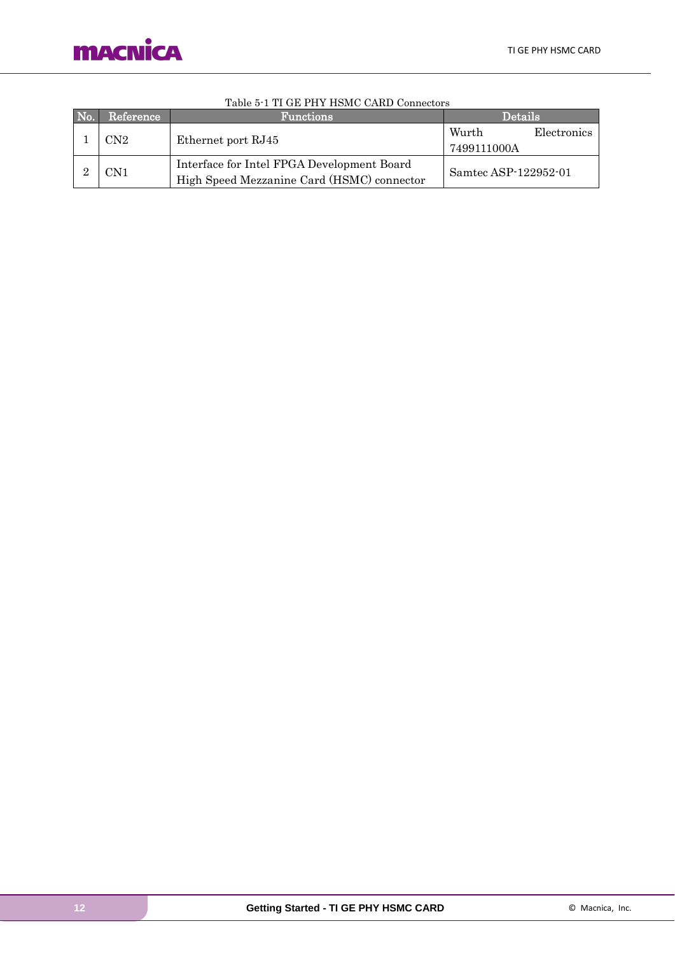

| No. | Reference | <b>Functions</b>                                                                         | <b>Details</b>       |             |
|-----|-----------|------------------------------------------------------------------------------------------|----------------------|-------------|
|     | CN2.      | Ethernet port RJ45                                                                       | Wurth<br>7499111000A | Electronics |
|     | CN1       | Interface for Intel FPGA Development Board<br>High Speed Mezzanine Card (HSMC) connector | Samtec ASP-122952-01 |             |

#### Table 5-1 TI GE PHY HSMC CARD Connectors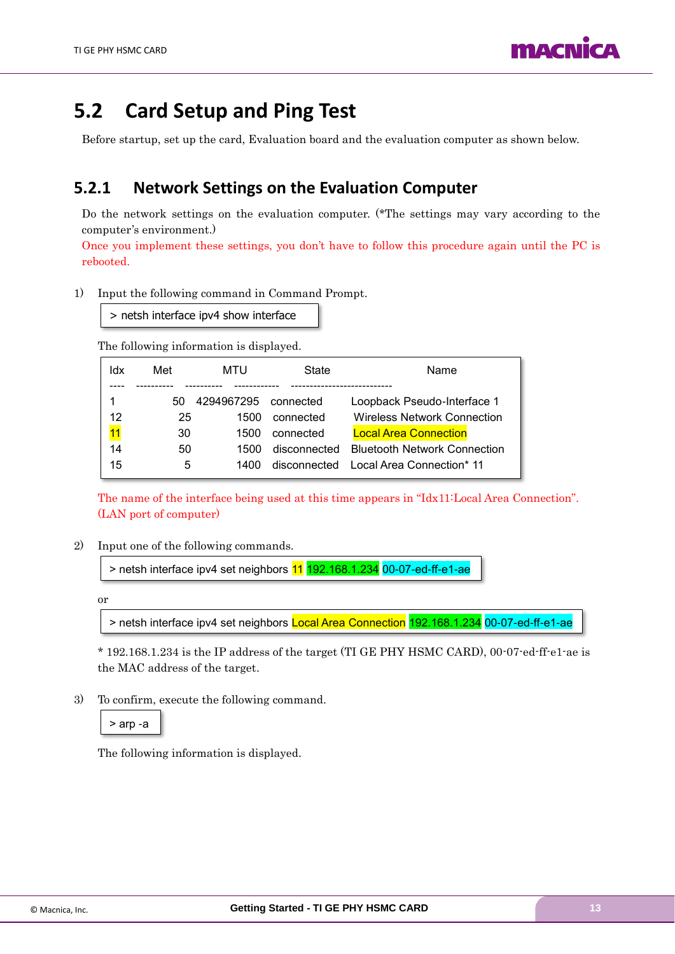

### <span id="page-12-0"></span>**5.2 Card Setup and Ping Test**

Before startup, set up the card, Evaluation board and the evaluation computer as shown below.

### <span id="page-12-1"></span>**5.2.1 Network Settings on the Evaluation Computer**

Do the network settings on the evaluation computer. (\*The settings may vary according to the computer's environment.)

Once you implement these settings, you don't have to follow this procedure again until the PC is rebooted.

1) Input the following command in Command Prompt.

> netsh interface ipv4 show interface

The following information is displayed.

| ldx | Met | MTU        | State        | Name                                |
|-----|-----|------------|--------------|-------------------------------------|
|     | 50  | 4294967295 | connected    | Loopback Pseudo-Interface 1         |
| 12  | 25  | 1500       | connected    | Wireless Network Connection         |
| 11  | 30  | 1500       | connected    | <b>Local Area Connection</b>        |
| 14  | 50  | 1500.      | disconnected | <b>Bluetooth Network Connection</b> |
| 15  | 5   | 1400       | disconnected | Local Area Connection* 11           |

The name of the interface being used at this time appears in "Idx11:Local Area Connection". (LAN port of computer)

2) Input one of the following commands.

> netsh interface ipv4 set neighbors 11 192.168.1.234 00-07-ed-ff-e1-ae

or

> netsh interface ipv4 set neighbors Local Area Connection 192.168.1.234 00-07-ed-ff-e1-ae

\* 192.168.1.234 is the IP address of the target (TI GE PHY HSMC CARD), 00-07-ed-ff-e1-ae is the MAC address of the target.

3) To confirm, execute the following command.

> arp -a

The following information is displayed.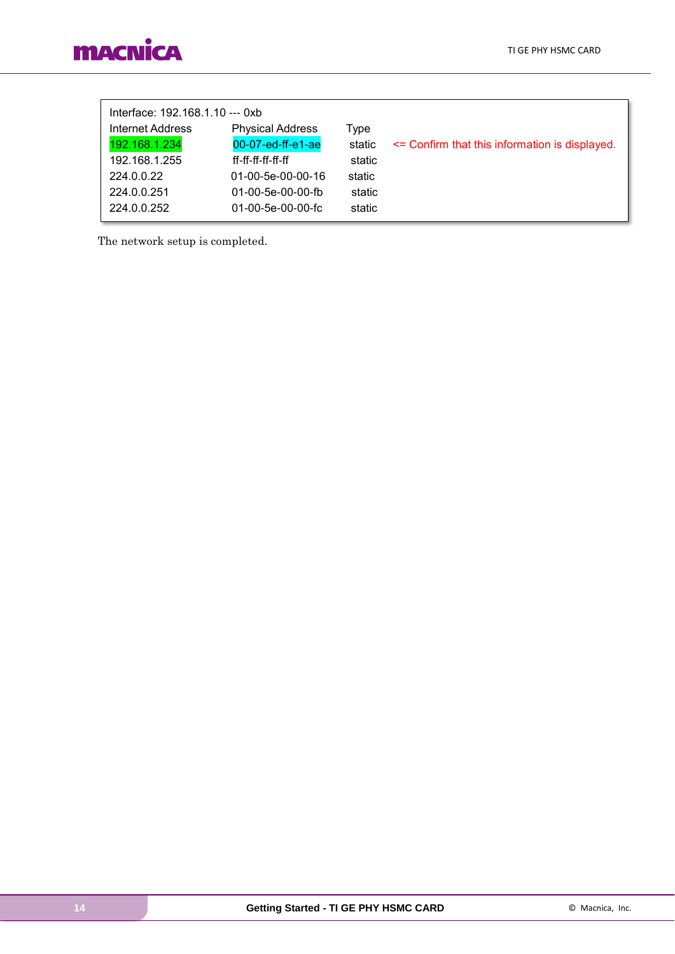| Interface: 192.168.1.10 --- 0xb |                         |        |                                                |
|---------------------------------|-------------------------|--------|------------------------------------------------|
| Internet Address                | <b>Physical Address</b> | Type   |                                                |
| 192.168.1.234                   | 00-07-ed-ff-e1-ae       | static | <= Confirm that this information is displayed. |
| 192.168.1.255                   | ff-ff-ff-ff-ff-ff       | static |                                                |
| 224.0.0.22                      | 01-00-5e-00-00-16       | static |                                                |
| 224.0.0.251                     | 01-00-5e-00-00-fb       | static |                                                |
| 224.0.0.252                     | $01-00-5e-00-00-fc$     | static |                                                |
|                                 |                         |        |                                                |

The network setup is completed.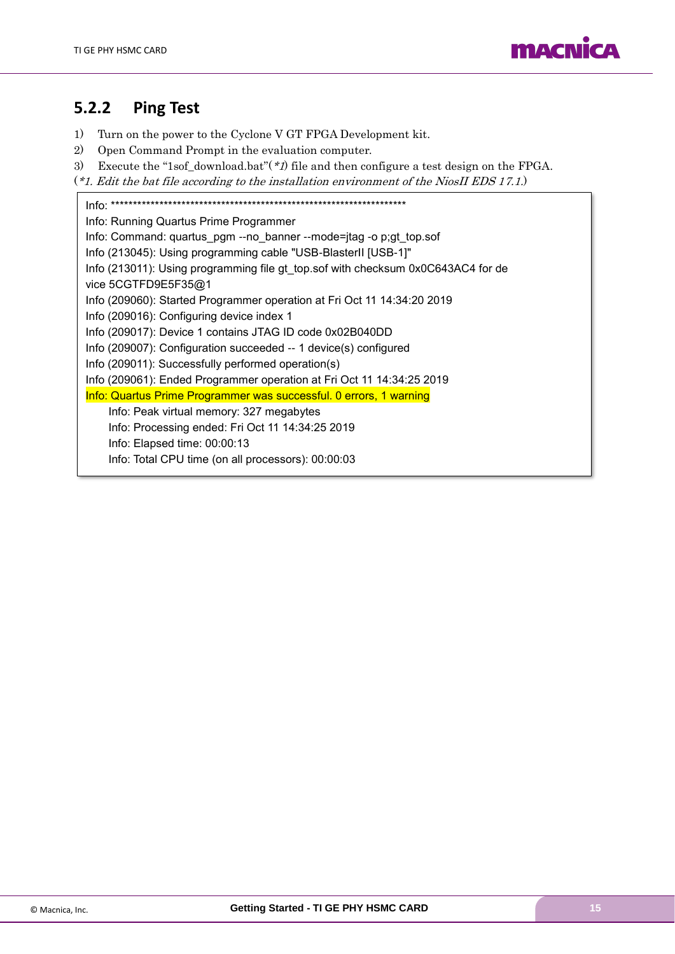

### <span id="page-14-0"></span>**5.2.2 Ping Test**

- 1) Turn on the power to the Cyclone V GT FPGA Development kit.
- 2) Open Command Prompt in the evaluation computer.
- 3) Execute the "1sof\_download.bat" $(*1)$  file and then configure a test design on the FPGA.
- (\*1. Edit the bat file according to the installation environment of the NiosII EDS 17.1.)

Info: \*\*\*\*\*\*\*\*\*\*\*\*\*\*\*\*\*\*\*\*\*\*\*\*\*\*\*\*\*\*\*\*\*\*\*\*\*\*\*\*\*\*\*\*\*\*\*\*\*\*\*\*\*\*\*\*\*\*\*\*\*\*\*\*\*\*\* Info: Running Quartus Prime Programmer Info: Command: quartus\_pgm --no\_banner --mode=jtag -o p;gt\_top.sof Info (213045): Using programming cable "USB-BlasterII [USB-1]" Info (213011): Using programming file gt\_top.sof with checksum 0x0C643AC4 for de vice 5CGTFD9E5F35@1 Info (209060): Started Programmer operation at Fri Oct 11 14:34:20 2019 Info (209016): Configuring device index 1 Info (209017): Device 1 contains JTAG ID code 0x02B040DD Info (209007): Configuration succeeded -- 1 device(s) configured Info (209011): Successfully performed operation(s) Info (209061): Ended Programmer operation at Fri Oct 11 14:34:25 2019 Info: Quartus Prime Programmer was successful. 0 errors, 1 warning Info: Peak virtual memory: 327 megabytes Info: Processing ended: Fri Oct 11 14:34:25 2019 Info: Elapsed time: 00:00:13 Info: Total CPU time (on all processors): 00:00:03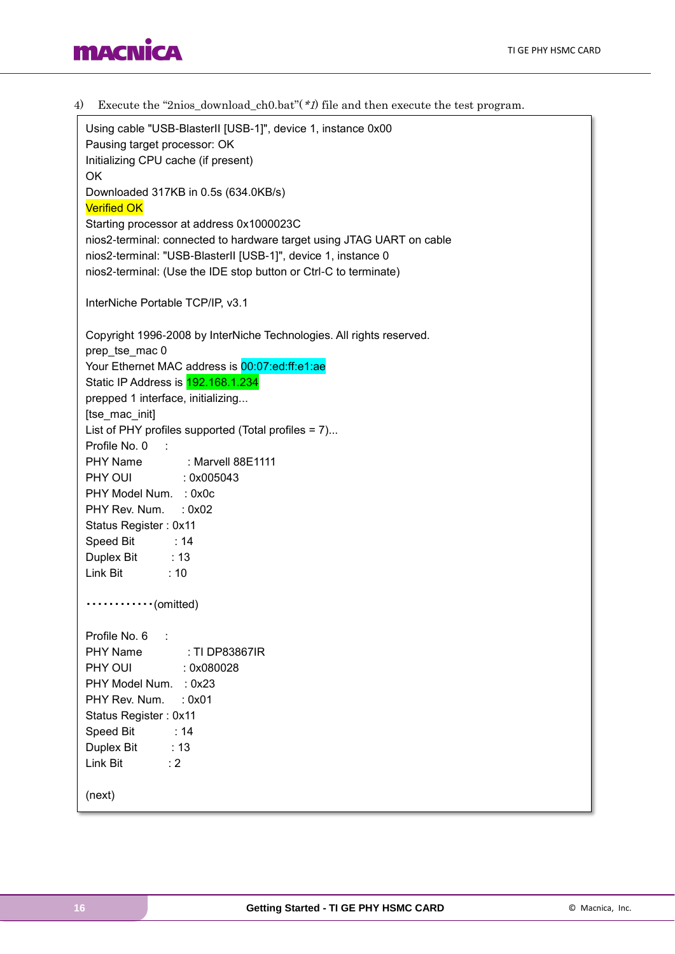### **MACNICA**

4) Execute the "2nios\_download\_ch0.bat"(\*1) file and then execute the test program. Using cable "USB-BlasterII [USB-1]", device 1, instance 0x00 Pausing target processor: OK Initializing CPU cache (if present) OK Downloaded 317KB in 0.5s (634.0KB/s) Verified OK Starting processor at address 0x1000023C nios2-terminal: connected to hardware target using JTAG UART on cable nios2-terminal: "USB-BlasterII [USB-1]", device 1, instance 0 nios2-terminal: (Use the IDE stop button or Ctrl-C to terminate) InterNiche Portable TCP/IP, v3.1 Copyright 1996-2008 by InterNiche Technologies. All rights reserved. prep\_tse\_mac 0 Your Ethernet MAC address is 00:07:ed:ff:e1:ae Static IP Address is 192.168.1.234 prepped 1 interface, initializing... [tse\_mac\_init] List of PHY profiles supported (Total profiles = 7)... Profile No. 0 : PHY Name : Marvell 88E1111 PHY OUI : 0x005043 PHY Model Num. : 0x0c PHY Rev. Num. : 0x02 Status Register : 0x11 Speed Bit : 14 Duplex Bit : 13 Link Bit : 10 ・・・・・・・・・・・・(omitted) Profile No. 6 : PHY Name : TI DP83867IR PHY OUI : 0x080028 PHY Model Num. : 0x23 PHY Rev. Num. : 0x01 Status Register : 0x11 Speed Bit : 14 Duplex Bit : 13 Link Bit : 2 (next)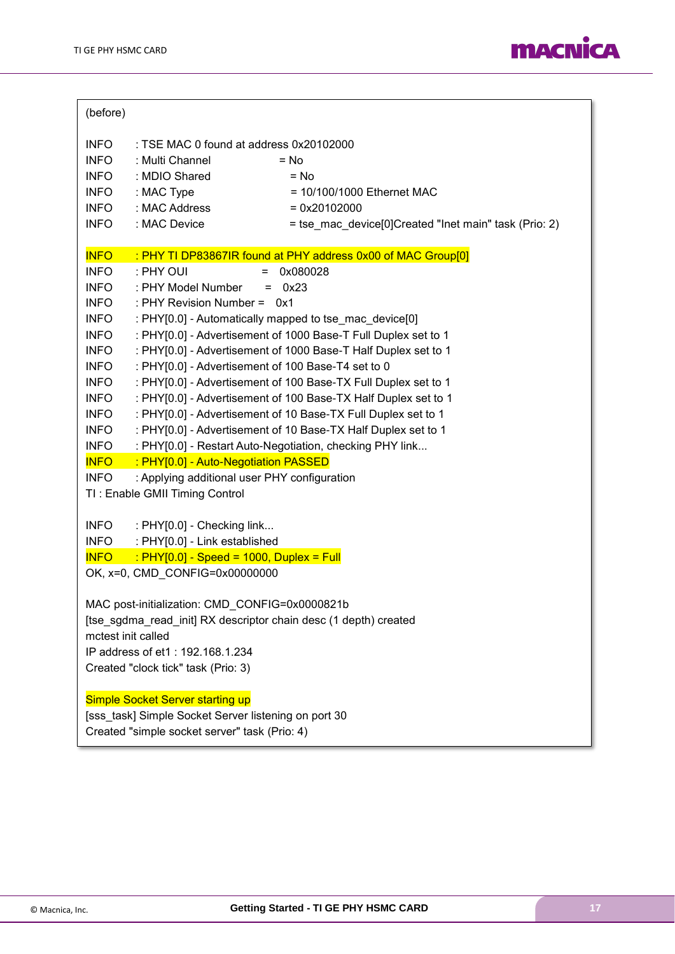

| (before)                                                                             |  |  |  |  |  |
|--------------------------------------------------------------------------------------|--|--|--|--|--|
| <b>INFO</b><br>: TSE MAC 0 found at address 0x20102000                               |  |  |  |  |  |
| <b>INFO</b><br>: Multi Channel<br>$=$ No                                             |  |  |  |  |  |
| : MDIO Shared<br><b>INFO</b><br>$= No$                                               |  |  |  |  |  |
| : MAC Type<br><b>INFO</b><br>$= 10/100/1000$ Ethernet MAC                            |  |  |  |  |  |
| : MAC Address<br><b>INFO</b><br>$= 0x20102000$                                       |  |  |  |  |  |
| : MAC Device<br><b>INFO</b><br>= tse_mac_device[0]Created "Inet main" task (Prio: 2) |  |  |  |  |  |
|                                                                                      |  |  |  |  |  |
| <b>INFO</b><br>: PHY TI DP83867IR found at PHY address 0x00 of MAC Group[0]          |  |  |  |  |  |
| <b>INFO</b><br>: PHY OUI<br>0x080028<br>$=$                                          |  |  |  |  |  |
| <b>INFO</b><br>: PHY Model Number<br>0x23<br>$=$                                     |  |  |  |  |  |
| : PHY Revision Number = 0x1<br><b>INFO</b>                                           |  |  |  |  |  |
| <b>INFO</b><br>: PHY[0.0] - Automatically mapped to tse mac device[0]                |  |  |  |  |  |
| : PHY[0.0] - Advertisement of 1000 Base-T Full Duplex set to 1<br><b>INFO</b>        |  |  |  |  |  |
| : PHY[0.0] - Advertisement of 1000 Base-T Half Duplex set to 1<br><b>INFO</b>        |  |  |  |  |  |
| <b>INFO</b><br>: PHY[0.0] - Advertisement of 100 Base-T4 set to 0                    |  |  |  |  |  |
| : PHY[0.0] - Advertisement of 100 Base-TX Full Duplex set to 1<br><b>INFO</b>        |  |  |  |  |  |
| <b>INFO</b><br>: PHY[0.0] - Advertisement of 100 Base-TX Half Duplex set to 1        |  |  |  |  |  |
| : PHY[0.0] - Advertisement of 10 Base-TX Full Duplex set to 1<br><b>INFO</b>         |  |  |  |  |  |
| : PHY[0.0] - Advertisement of 10 Base-TX Half Duplex set to 1<br><b>INFO</b>         |  |  |  |  |  |
| <b>INFO</b><br>: PHY[0.0] - Restart Auto-Negotiation, checking PHY link              |  |  |  |  |  |
| <b>INFO</b><br>: PHY[0.0] - Auto-Negotiation PASSED                                  |  |  |  |  |  |
| <b>INFO</b><br>: Applying additional user PHY configuration                          |  |  |  |  |  |
| TI: Enable GMII Timing Control                                                       |  |  |  |  |  |
|                                                                                      |  |  |  |  |  |
| <b>INFO</b><br>: PHY[0.0] - Checking link                                            |  |  |  |  |  |
| <b>INFO</b><br>: PHY[0.0] - Link established                                         |  |  |  |  |  |
| <b>INFO</b><br>$\frac{1}{2}$ PHY[0.0] - Speed = 1000, Duplex = Full                  |  |  |  |  |  |
| OK, x=0, CMD_CONFIG=0x00000000                                                       |  |  |  |  |  |
|                                                                                      |  |  |  |  |  |
| MAC post-initialization: CMD_CONFIG=0x0000821b                                       |  |  |  |  |  |
| [tse_sgdma_read_init] RX descriptor chain desc (1 depth) created                     |  |  |  |  |  |
| mctest init called                                                                   |  |  |  |  |  |
| IP address of et1: 192.168.1.234                                                     |  |  |  |  |  |
| Created "clock tick" task (Prio: 3)                                                  |  |  |  |  |  |
| Simple Socket Server starting up                                                     |  |  |  |  |  |
| [sss_task] Simple Socket Server listening on port 30                                 |  |  |  |  |  |
|                                                                                      |  |  |  |  |  |
| Created "simple socket server" task (Prio: 4)                                        |  |  |  |  |  |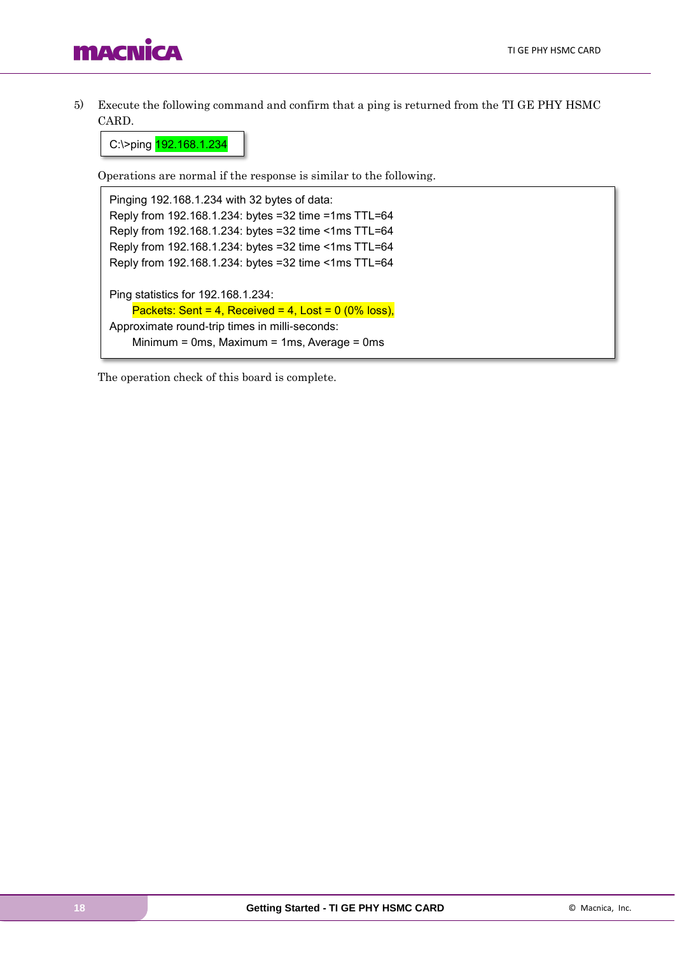5) Execute the following command and confirm that a ping is returned from the TI GE PHY HSMC CARD.

C:\>ping 192.168.1.234

Operations are normal if the response is similar to the following.

Pinging 192.168.1.234 with 32 bytes of data: Reply from 192.168.1.234: bytes =32 time =1ms TTL=64 Reply from 192.168.1.234: bytes =32 time <1ms TTL=64 Reply from 192.168.1.234: bytes =32 time <1ms TTL=64 Reply from 192.168.1.234: bytes =32 time <1ms TTL=64 Ping statistics for 192.168.1.234: Packets: Sent = 4, Received = 4, Lost =  $0$  (0% loss), Approximate round-trip times in milli-seconds: Minimum = 0ms, Maximum = 1ms, Average = 0ms

The operation check of this board is complete.